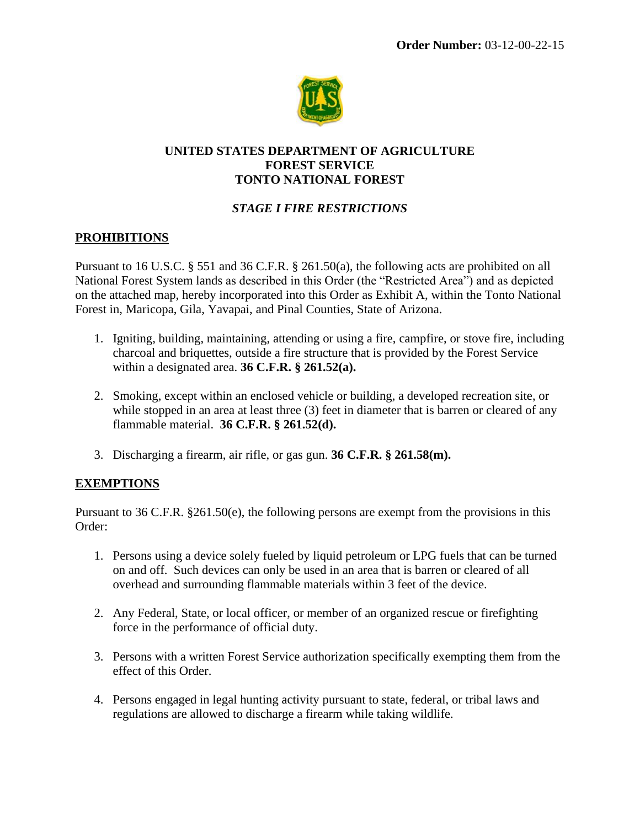

## **UNITED STATES DEPARTMENT OF AGRICULTURE FOREST SERVICE TONTO NATIONAL FOREST**

## *STAGE I FIRE RESTRICTIONS*

## **PROHIBITIONS**

Pursuant to 16 U.S.C. § 551 and 36 C.F.R. § 261.50(a), the following acts are prohibited on all National Forest System lands as described in this Order (the "Restricted Area") and as depicted on the attached map, hereby incorporated into this Order as Exhibit A, within the Tonto National Forest in, Maricopa, Gila, Yavapai, and Pinal Counties, State of Arizona.

- 1. Igniting, building, maintaining, attending or using a fire, campfire, or stove fire, including charcoal and briquettes, outside a fire structure that is provided by the Forest Service within a designated area. **36 C.F.R. § 261.52(a).**
- 2. Smoking, except within an enclosed vehicle or building, a developed recreation site, or while stopped in an area at least three (3) feet in diameter that is barren or cleared of any flammable material. **36 C.F.R. § 261.52(d).**
- 3. Discharging a firearm, air rifle, or gas gun. **36 C.F.R. § 261.58(m).**

#### **EXEMPTIONS**

Pursuant to 36 C.F.R. §261.50(e), the following persons are exempt from the provisions in this Order:

- 1. Persons using a device solely fueled by liquid petroleum or LPG fuels that can be turned on and off. Such devices can only be used in an area that is barren or cleared of all overhead and surrounding flammable materials within 3 feet of the device.
- 2. Any Federal, State, or local officer, or member of an organized rescue or firefighting force in the performance of official duty.
- 3. Persons with a written Forest Service authorization specifically exempting them from the effect of this Order.
- 4. Persons engaged in legal hunting activity pursuant to state, federal, or tribal laws and regulations are allowed to discharge a firearm while taking wildlife.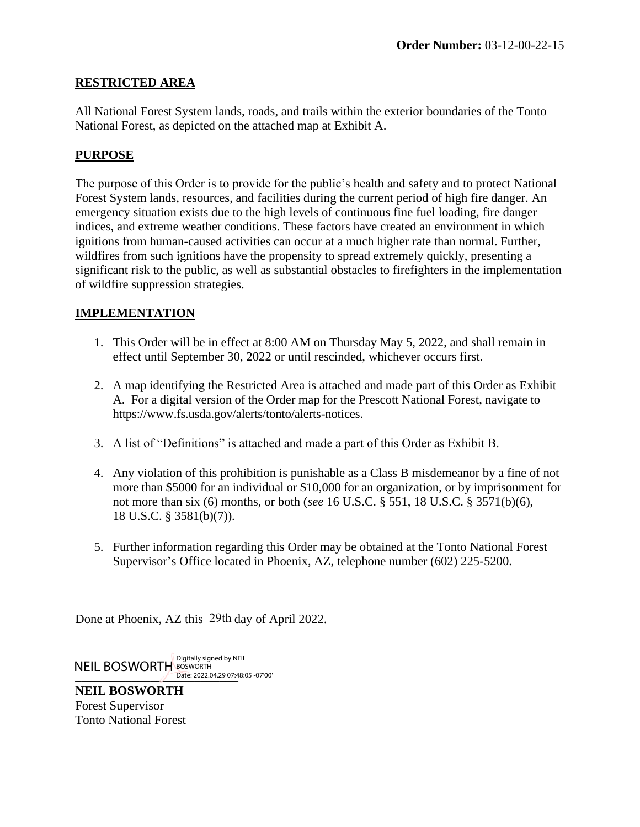## **RESTRICTED AREA**

All National Forest System lands, roads, and trails within the exterior boundaries of the Tonto National Forest, as depicted on the attached map at Exhibit A.

# **PURPOSE**

The purpose of this Order is to provide for the public's health and safety and to protect National Forest System lands, resources, and facilities during the current period of high fire danger. An emergency situation exists due to the high levels of continuous fine fuel loading, fire danger indices, and extreme weather conditions. These factors have created an environment in which ignitions from human-caused activities can occur at a much higher rate than normal. Further, wildfires from such ignitions have the propensity to spread extremely quickly, presenting a significant risk to the public, as well as substantial obstacles to firefighters in the implementation of wildfire suppression strategies.

# **IMPLEMENTATION**

- 1. This Order will be in effect at 8:00 AM on Thursday May 5, 2022, and shall remain in effect until September 30, 2022 or until rescinded, whichever occurs first.
- 2. A map identifying the Restricted Area is attached and made part of this Order as Exhibit A. For a digital version of the Order map for the Prescott National Forest, navigate to htt[ps://www.fs.usda.gov/alerts/tonto/alerts-notices.](http://www.fs.usda.gov/alerts/prescott/alerts-notices)
- 3. A list of "Definitions" is attached and made a part of this Order as Exhibit B.
- 4. Any violation of this prohibition is punishable as a Class B misdemeanor by a fine of not more than \$5000 for an individual or \$10,000 for an organization, or by imprisonment for not more than six (6) months, or both (*see* 16 U.S.C. § 551, 18 U.S.C. § 3571(b)(6), 18 U.S.C. § 3581(b)(7)).
- 5. Further information regarding this Order may be obtained at the Tonto National Forest Supervisor's Office located in Phoenix, AZ, telephone number (602) 225-5200.

Done at Phoenix, AZ this 29th day of April 2022.

Date: 2022.04.29 07:48:05 -07'00 NEIL BOSWORTH BOSWORTH

**NEIL BOSWORTH** Forest Supervisor Tonto National Forest